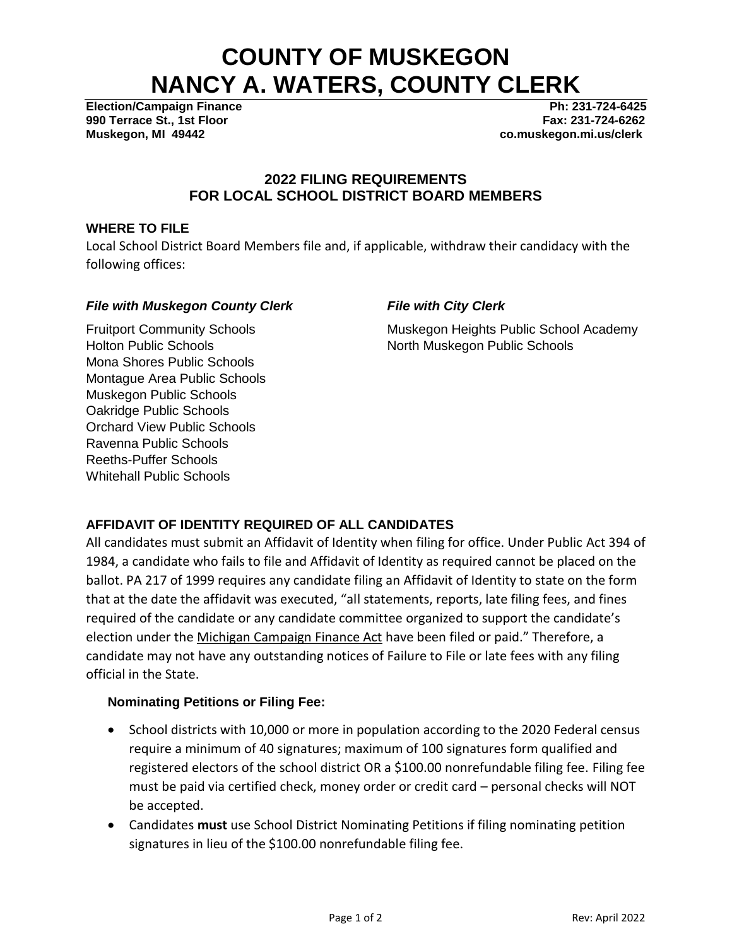# **COUNTY OF MUSKEGON NANCY A. WATERS, COUNTY CLERK**

**990 Terrace St., 1st Floor Fax: 231-724-6262 Muskegon, MI 49442 co.muskegon.mi.us/clerk**

**Election/Campaign Finance Ph: 231-724-6425**

## **2022 FILING REQUIREMENTS FOR LOCAL SCHOOL DISTRICT BOARD MEMBERS**

### **WHERE TO FILE**

Local School District Board Members file and, if applicable, withdraw their candidacy with the following offices:

## *File with Muskegon County Clerk*

## *File with City Clerk*

Muskegon Heights Public School Academy North Muskegon Public Schools

Fruitport Community Schools Holton Public Schools Mona Shores Public Schools Montague Area Public Schools Muskegon Public Schools Oakridge Public Schools Orchard View Public Schools Ravenna Public Schools Reeths-Puffer Schools Whitehall Public Schools

# **AFFIDAVIT OF IDENTITY REQUIRED OF ALL CANDIDATES**

All candidates must submit an Affidavit of Identity when filing for office. Under Public Act 394 of 1984, a candidate who fails to file and Affidavit of Identity as required cannot be placed on the ballot. PA 217 of 1999 requires any candidate filing an Affidavit of Identity to state on the form that at the date the affidavit was executed, "all statements, reports, late filing fees, and fines required of the candidate or any candidate committee organized to support the candidate's election under the Michigan Campaign Finance Act have been filed or paid." Therefore, a candidate may not have any outstanding notices of Failure to File or late fees with any filing official in the State.

## **Nominating Petitions or Filing Fee:**

- School districts with 10,000 or more in population according to the 2020 Federal census require a minimum of 40 signatures; maximum of 100 signatures form qualified and registered electors of the school district OR a \$100.00 nonrefundable filing fee. Filing fee must be paid via certified check, money order or credit card – personal checks will NOT be accepted.
- Candidates **must** use School District Nominating Petitions if filing nominating petition signatures in lieu of the \$100.00 nonrefundable filing fee.